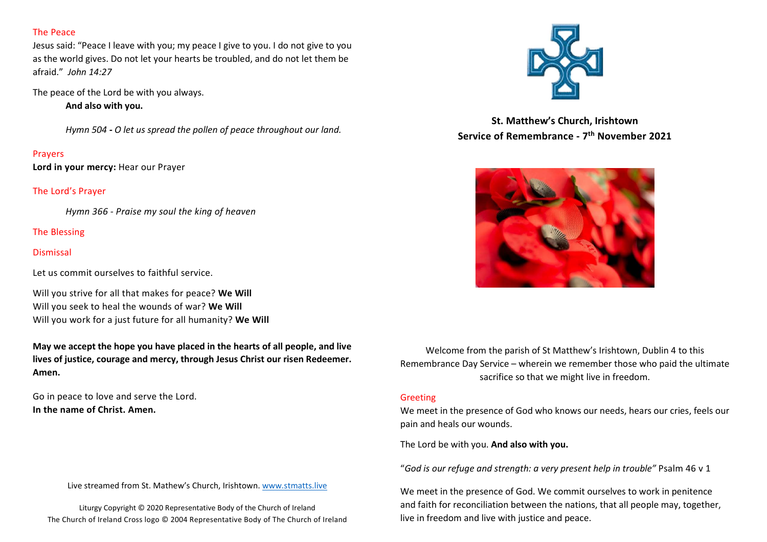### The Peace

Jesus said: "Peace I leave with you; my peace I give to you. I do not give to you as the world gives. Do not let your hearts be troubled, and do not let them be afraid." John 14:27

The peace of the Lord be with you always.

And also with you.

Hymn 504 - O let us spread the pollen of peace throughout our land.

### Prayers

Lord in your mercy: Hear our Prayer

The Lord's Prayer

Hymn 366 - Praise my soul the king of heaven

## The Blessing

### **Dismissal**

Let us commit ourselves to faithful service.

Will you strive for all that makes for peace? We Will Will you seek to heal the wounds of war? We Will Will you work for a just future for all humanity? We Will

May we accept the hope you have placed in the hearts of all people, and live lives of justice, courage and mercy, through Jesus Christ our risen Redeemer. Amen.

Go in peace to love and serve the Lord. In the name of Christ. Amen.

#### Live streamed from St. Mathew's Church, Irishtown. www.stmatts.live

Liturgy Copyright © 2020 Representative Body of the Church of Ireland The Church of Ireland Cross logo © 2004 Representative Body of The Church of Ireland



St. Matthew's Church, Irishtown Service of Remembrance - 7<sup>th</sup> November 2021



Welcome from the parish of St Matthew's Irishtown, Dublin 4 to this Remembrance Day Service – wherein we remember those who paid the ultimate sacrifice so that we might live in freedom.

#### Greeting

We meet in the presence of God who knows our needs, hears our cries, feels our pain and heals our wounds.

The Lord be with you. And also with you.

"God is our refuge and strength: a very present help in trouble" Psalm 46 v 1

We meet in the presence of God. We commit ourselves to work in penitence and faith for reconciliation between the nations, that all people may, together, live in freedom and live with justice and peace.